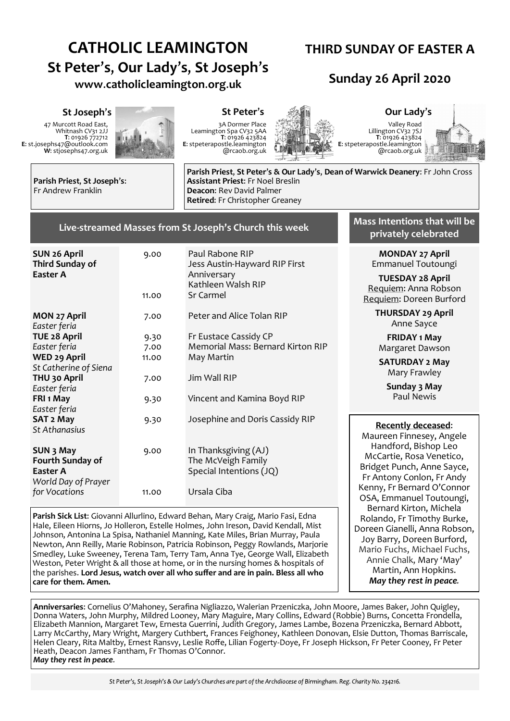# **CATHOLIC LEAMINGTON St Peter**'**s**, **Our Lady**'**s**, **St Joseph**'**s www**.**catholicleamington**.**org**.**uk**

## **THIRD SUNDAY OF EASTER A**

## **Sunday 26 April 2020**

47 Murcott Road East, Whitnash CV31 2JJ **T**: 01926 772712 **E**: st.josephs47@outlook.com **W**: stjosephs47.org.uk



3A Dormer Place Leamington Spa CV32 5AA **T**: 01926 423824 **E**: stpeterapostle.leamington @rcaob.org.uk



Valley Road Lillington CV32 7SJ **T**: 01926 423824 **E**: stpeterapostle.leamington @rcaob.org.uk



**Parish Priest**, **St Joseph**'**s**: Fr Andrew Franklin

**Parish Priest**, **St Peter**'**s & Our Lady**'**s**, **Dean of Warwick Deanery**: Fr John Cross **Assistant Priest**: Fr Noel Breslin **Deacon**: Rev David Palmer **Retired**: Fr Christopher Greaney

### **Live-streamed Masses from St Joseph's Church this week**

| <b>SUN 26 April</b><br>Third Sunday of<br>Easter A                      | 9.00<br>11.00 | Paul Rabone RIP<br>Jess Austin-Hayward RIP First<br>Anniversary<br>Kathleen Walsh RIP<br>Sr Carmel |
|-------------------------------------------------------------------------|---------------|----------------------------------------------------------------------------------------------------|
|                                                                         |               |                                                                                                    |
| MON 27 April<br>Easter feria                                            | 7.00          | Peter and Alice Tolan RIP                                                                          |
| <b>TUE 28 April</b>                                                     | 9.30          | Fr Eustace Cassidy CP                                                                              |
| Easter feria                                                            | 7.00          | <b>Memorial Mass: Bernard Kirton RIP</b>                                                           |
| <b>WED 29 April</b>                                                     | 11.00         | May Martin                                                                                         |
| St Catherine of Siena                                                   |               |                                                                                                    |
| THU 30 April                                                            | 7.00          | Jim Wall RIP                                                                                       |
| Easter feria                                                            |               |                                                                                                    |
| FRI 1 May                                                               | 9.30          | Vincent and Kamina Boyd RIP                                                                        |
| Easter feria                                                            |               |                                                                                                    |
| SAT 2 May                                                               | 9.30          | Josephine and Doris Cassidy RIP                                                                    |
| <b>St Athanasius</b>                                                    |               |                                                                                                    |
| SUN 3 May<br><b>Fourth Sunday of</b><br>Easter A<br>World Day of Prayer | 9.00          | In Thanksgiving (AJ)<br>The McVeigh Family<br>Special Intentions (JQ)                              |
| for Vocations                                                           | 11.00         | Ursala Ciba                                                                                        |

**Parish Sick List**: Giovanni Allurlino, Edward Behan, Mary Craig, Mario Fasi, Edna Hale, Eileen Hiorns, Jo Holleron, Estelle Holmes, John Ireson, David Kendall, Mist Johnson, Antonina La Spisa, Nathaniel Manning, Kate Miles, Brian Murray, Paula Newton, Ann Reilly, Marie Robinson, Patricia Robinson, Peggy Rowlands, Marjorie Smedley, Luke Sweeney, Terena Tam, Terry Tam, Anna Tye, George Wall, Elizabeth Weston, Peter Wright & all those at home, or in the nursing homes & hospitals of the parishes. **Lord Jesus, watch over all who suffer and are in pain. Bless all who care for them. Amen.**

**Mass Intentions that will be privately celebrated** 

> **MONDAY 27 April** Emmanuel Toutoungi

**TUESDAY 28 April** Requiem: Anna Robson Requiem: Doreen Burford

> **THURSDAY 29 April** Anne Sayce

**FRIDAY 1 May** Margaret Dawson

**SATURDAY 2 May** Mary Frawley

> **Sunday 3 May** Paul Newis

#### **Recently deceased**:

Maureen Finnesey, Angele Handford, Bishop Leo McCartie, Rosa Venetico, Bridget Punch, Anne Sayce, Fr Antony Conlon, Fr Andy Kenny, Fr Bernard O'Connor OSA, Emmanuel Toutoungi, Bernard Kirton, Michela Rolando, Fr Timothy Burke, Doreen Gianelli, Anna Robson, Joy Barry, Doreen Burford, Mario Fuchs, Michael Fuchs, Annie Chalk, Mary 'May' Martin, Ann Hopkins. *May they rest in peace.*

**Anniversaries**: Cornelius O'Mahoney, Serafina Nigliazzo, Walerian Przeniczka, John Moore, James Baker, John Quigley, Donna Waters, John Murphy, Mildred Looney, Mary Maguire, Mary Collins, Edward (Robbie) Burns, Concetta Frondella, Elizabeth Mannion, Margaret Tew, Ernesta Guerrini, Judith Gregory, James Lambe, Bozena Przeniczka, Bernard Abbott, Larry McCarthy, Mary Wright, Margery Cuthbert, Frances Feighoney, Kathleen Donovan, Elsie Dutton, Thomas Barriscale, Helen Cleary, Rita Maltby, Ernest Ransvy, Leslie Roffe, Lilian Fogerty-Doye, Fr Joseph Hickson, Fr Peter Cooney, Fr Peter Heath, Deacon James Fantham, Fr Thomas O'Connor. *May they rest in peace.*

St Peter's, St Joseph's & Our Lady's Churches are part of the Archdiocese of Birmingham. Reg. Charity No. 234216.